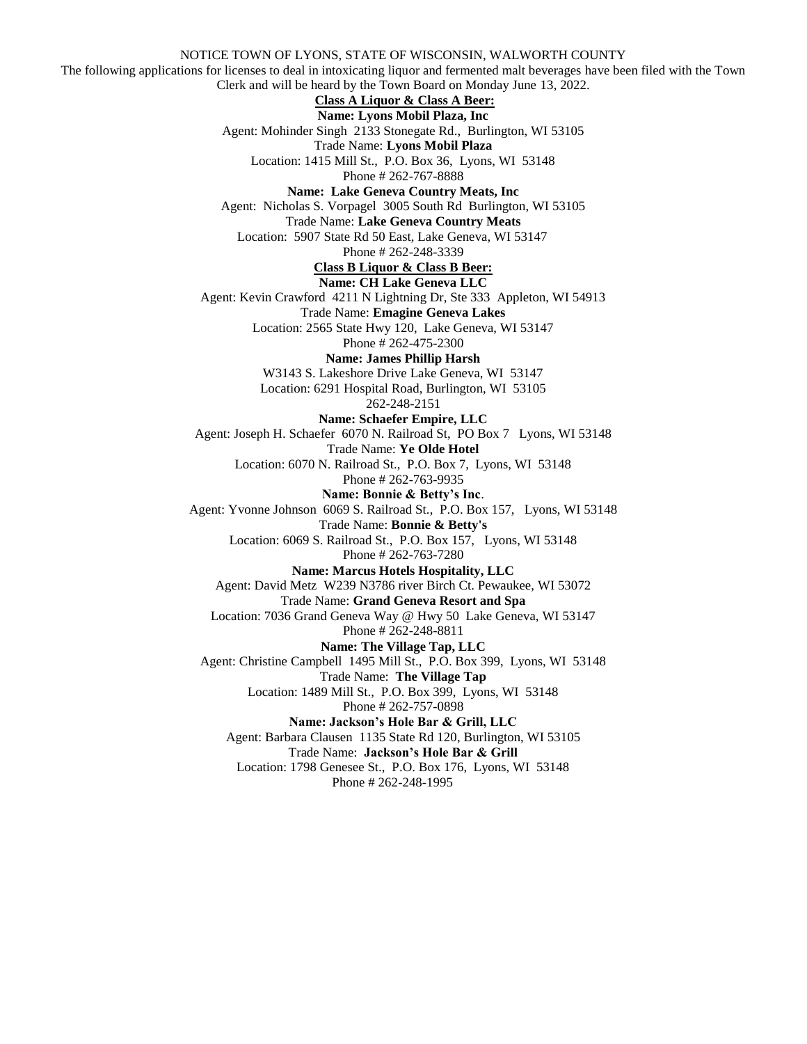NOTICE TOWN OF LYONS, STATE OF WISCONSIN, WALWORTH COUNTY The following applications for licenses to deal in intoxicating liquor and fermented malt beverages have been filed with the Town Clerk and will be heard by the Town Board on Monday June 13, 2022. **Class A Liquor & Class A Beer: Name: Lyons Mobil Plaza, Inc** Agent: Mohinder Singh 2133 Stonegate Rd., Burlington, WI 53105 Trade Name: **Lyons Mobil Plaza** Location: 1415 Mill St., P.O. Box 36, Lyons, WI 53148 Phone # 262-767-8888 **Name: Lake Geneva Country Meats, Inc** Agent: Nicholas S. Vorpagel 3005 South Rd Burlington, WI 53105 Trade Name: **Lake Geneva Country Meats** Location: 5907 State Rd 50 East, Lake Geneva, WI 53147 Phone # 262-248-3339 **Class B Liquor & Class B Beer: Name: CH Lake Geneva LLC** Agent: Kevin Crawford 4211 N Lightning Dr, Ste 333 Appleton, WI 54913 Trade Name: **Emagine Geneva Lakes** Location: 2565 State Hwy 120, Lake Geneva, WI 53147 Phone # 262-475-2300 **Name: James Phillip Harsh** W3143 S. Lakeshore Drive Lake Geneva, WI 53147 Location: 6291 Hospital Road, Burlington, WI 53105 262-248-2151 **Name: Schaefer Empire, LLC** Agent: Joseph H. Schaefer 6070 N. Railroad St, PO Box 7 Lyons, WI 53148 Trade Name: **Ye Olde Hotel** Location: 6070 N. Railroad St., P.O. Box 7, Lyons, WI 53148 Phone # 262-763-9935 **Name: Bonnie & Betty's Inc**. Agent: Yvonne Johnson 6069 S. Railroad St., P.O. Box 157, Lyons, WI 53148 Trade Name: **Bonnie & Betty's** Location: 6069 S. Railroad St., P.O. Box 157, Lyons, WI 53148 Phone # 262-763-7280 **Name: Marcus Hotels Hospitality, LLC** Agent: David Metz W239 N3786 river Birch Ct. Pewaukee, WI 53072 Trade Name: **Grand Geneva Resort and Spa** Location: 7036 Grand Geneva Way @ Hwy 50 Lake Geneva, WI 53147 Phone # 262-248-8811 **Name: The Village Tap, LLC** Agent: Christine Campbell 1495 Mill St., P.O. Box 399, Lyons, WI 53148 Trade Name: **The Village Tap** Location: 1489 Mill St., P.O. Box 399, Lyons, WI 53148 Phone # 262-757-0898 **Name: Jackson's Hole Bar & Grill, LLC** Agent: Barbara Clausen 1135 State Rd 120, Burlington, WI 53105 Trade Name: **Jackson's Hole Bar & Grill** Location: 1798 Genesee St., P.O. Box 176, Lyons, WI 53148 Phone # 262-248-1995